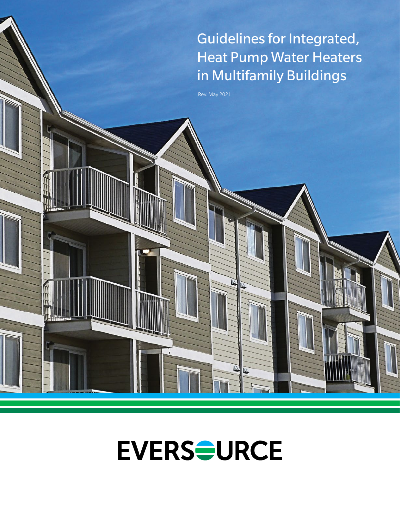# Guidelines for Integrated, Heat Pump Water Heaters in Multifamily Buildings

Rev. May 2021



 $\overline{\mathcal{D}}$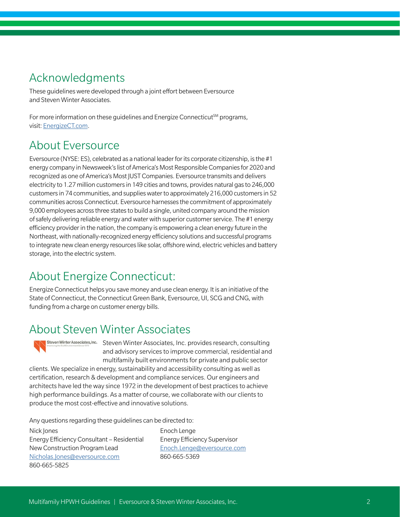### Acknowledgments

These guidelines were developed through a joint effort between Eversource and Steven Winter Associates.

For more information on these guidelines and Energize Connecticut<sup>SM</sup> programs, visit: [EnergizeCT.com](http://EnergizeCT.com).

### About Eversource

Eversource (NYSE: ES), celebrated as a national leader for its corporate citizenship, is the #1 energy company in Newsweek's list of America's Most Responsible Companies for 2020 and recognized as one of America's Most JUST Companies. Eversource transmits and delivers electricity to 1.27 million customers in 149 cities and towns, provides natural gas to 246,000 customers in 74 communities, and supplies water to approximately 216,000 customers in 52 communities across Connecticut. Eversource harnesses the commitment of approximately 9,000 employees across three states to build a single, united company around the mission of safely delivering reliable energy and water with superior customer service. The #1 energy efficiency provider in the nation, the company is empowering a clean energy future in the Northeast, with nationally-recognized energy efficiency solutions and successful programs to integrate new clean energy resources like solar, offshore wind, electric vehicles and battery storage, into the electric system.

### About Energize Connecticut:

Energize Connecticut helps you save money and use clean energy. It is an initiative of the State of Connecticut, the Connecticut Green Bank, Eversource, UI, SCG and CNG, with funding from a charge on customer energy bills.

### About Steven Winter Associates

Steven Winter Associates, Inc. Steven Winter Associates, Inc. provides research, consulting and advisory services to improve commercial, residential and multifamily built environments for private and public sector

clients. We specialize in energy, sustainability and accessibility consulting as well as certification, research & development and compliance services. Our engineers and architects have led the way since 1972 in the development of best practices to achieve high performance buildings. As a matter of course, we collaborate with our clients to produce the most cost-effective and innovative solutions.

Any questions regarding these guidelines can be directed to:

Nick Jones Energy Efficiency Consultant – Residential New Construction Program Lead [Nicholas.Jones@eversource.com](mailto:Nicholas.Jones%40eversource.com?subject=) 860-665-5825

Enoch Lenge Energy Efficiency Supervisor [Enoch.Lenge@eversource.com](mailto:Enoch.Lenge%40eversource.com?subject=) 860-665-5369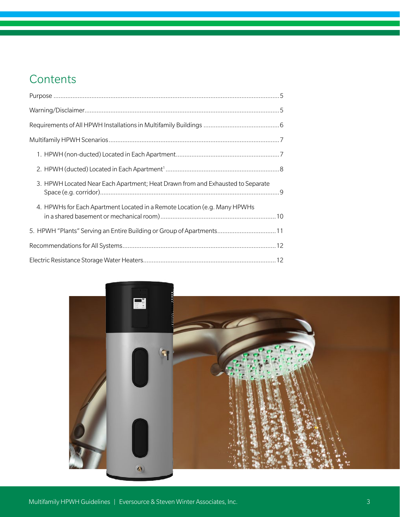### **Contents**

| 3. HPWH Located Near Each Apartment; Heat Drawn from and Exhausted to Separate |  |  |
|--------------------------------------------------------------------------------|--|--|
| 4. HPWHs for Each Apartment Located in a Remote Location (e.g. Many HPWHs      |  |  |
| 5. HPWH "Plants" Serving an Entire Building or Group of Apartments11           |  |  |
|                                                                                |  |  |
|                                                                                |  |  |

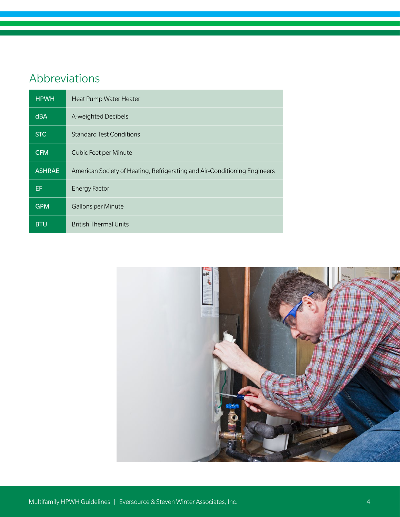### Abbreviations

| <b>HPWH</b>   | Heat Pump Water Heater                                                    |
|---------------|---------------------------------------------------------------------------|
| <b>dBA</b>    | A-weighted Decibels                                                       |
| <b>STC</b>    | <b>Standard Test Conditions</b>                                           |
| <b>CFM</b>    | Cubic Feet per Minute                                                     |
| <b>ASHRAE</b> | American Society of Heating, Refrigerating and Air-Conditioning Engineers |
| EF            | <b>Energy Factor</b>                                                      |
| <b>GPM</b>    | <b>Gallons per Minute</b>                                                 |
| <b>BTU</b>    | <b>British Thermal Units</b>                                              |

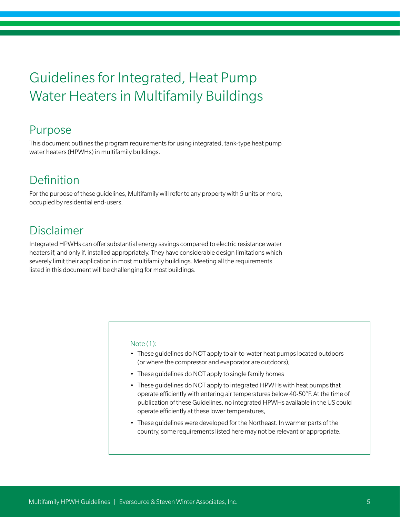## Guidelines for Integrated, Heat Pump Water Heaters in Multifamily Buildings

### Purpose

This document outlines the program requirements for using integrated, tank-type heat pump water heaters (HPWHs) in multifamily buildings.

### Definition

For the purpose of these guidelines, Multifamily will refer to any property with 5 units or more, occupied by residential end-users.

### Disclaimer

Integrated HPWHs can offer substantial energy savings compared to electric resistance water heaters if, and only if, installed appropriately. They have considerable design limitations which severely limit their application in most multifamily buildings. Meeting all the requirements listed in this document will be challenging for most buildings.

#### Note (1):

- These guidelines do NOT apply to air-to-water heat pumps located outdoors (or where the compressor and evaporator are outdoors),
- These guidelines do NOT apply to single family homes
- These guidelines do NOT apply to integrated HPWHs with heat pumps that operate efficiently with entering air temperatures below 40-50°F. At the time of publication of these Guidelines, no integrated HPWHs available in the US could operate efficiently at these lower temperatures,
- These guidelines were developed for the Northeast. In warmer parts of the country, some requirements listed here may not be relevant or appropriate.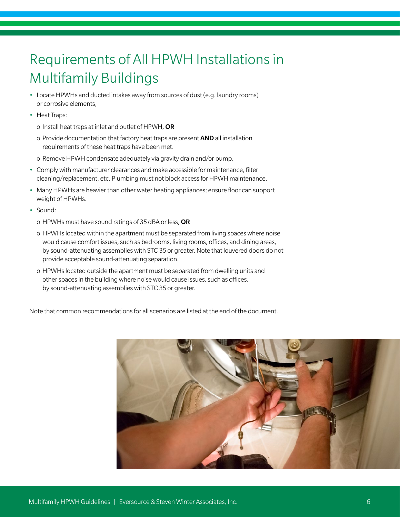# Requirements of All HPWH Installations in Multifamily Buildings

- Locate HPWHs and ducted intakes away from sources of dust (e.g. laundry rooms) or corrosive elements,
- Heat Traps:
	- o Install heat traps at inlet and outlet of HPWH, OR
	- o Provide documentation that factory heat traps are present AND all installation requirements of these heat traps have been met.
	- o Remove HPWH condensate adequately via gravity drain and/or pump,
- Comply with manufacturer clearances and make accessible for maintenance, filter cleaning/replacement, etc. Plumbing must not block access for HPWH maintenance,
- Many HPWHs are heavier than other water heating appliances; ensure floor can support weight of HPWHs.
- Sound:
	- o HPWHs must have sound ratings of 35 dBA or less, OR
	- o HPWHs located within the apartment must be separated from living spaces where noise would cause comfort issues, such as bedrooms, living rooms, offices, and dining areas, by sound-attenuating assemblies with STC 35 or greater. Note that louvered doors do not provide acceptable sound-attenuating separation.
	- o HPWHs located outside the apartment must be separated from dwelling units and other spaces in the building where noise would cause issues, such as offices, by sound-attenuating assemblies with STC 35 or greater.

Note that common recommendations for all scenarios are listed at the end of the document.

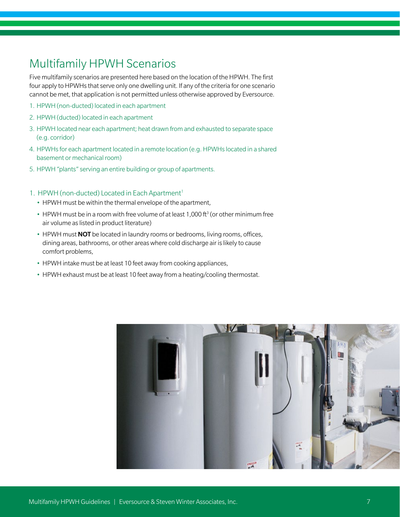### Multifamily HPWH Scenarios

Five multifamily scenarios are presented here based on the location of the HPWH. The first four apply to HPWHs that serve only one dwelling unit. If any of the criteria for one scenario cannot be met, that application is not permitted unless otherwise approved by Eversource.

- 1. HPWH (non-ducted) located in each apartment
- 2. HPWH (ducted) located in each apartment
- 3. HPWH located near each apartment; heat drawn from and exhausted to separate space (e.g. corridor)
- 4. HPWHs for each apartment located in a remote location (e.g. HPWHs located in a shared basement or mechanical room)
- 5. HPWH "plants" serving an entire building or group of apartments.

#### 1. HPWH (non-ducted) Located in Each Apartment<sup>1</sup>

- HPWH must be within the thermal envelope of the apartment,
- HPWH must be in a room with free volume of at least 1,000 ft<sup>3</sup> (or other minimum free air volume as listed in product literature)
- HPWH must **NOT** be located in laundry rooms or bedrooms, living rooms, offices, dining areas, bathrooms, or other areas where cold discharge air is likely to cause comfort problems,
- HPWH intake must be at least 10 feet away from cooking appliances,
- HPWH exhaust must be at least 10 feet away from a heating/cooling thermostat.

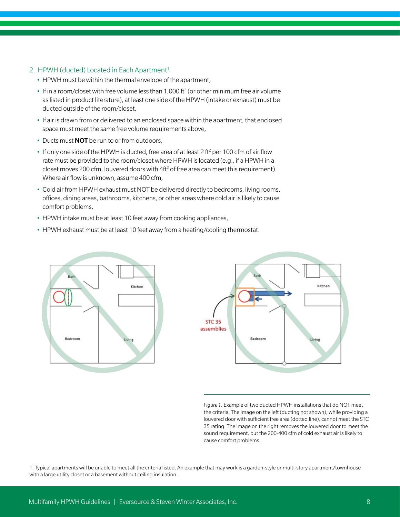#### 2. HPWH (ducted) Located in Each Apartment<sup>1</sup>

- HPWH must be within the thermal envelope of the apartment,
- If in a room/closet with free volume less than 1,000 ft<sup>3</sup> (or other minimum free air volume as listed in product literature), at least one side of the HPWH (intake or exhaust) must be ducted outside of the room/closet,
- If air is drawn from or delivered to an enclosed space within the apartment, that enclosed space must meet the same free volume requirements above,
- Ducts must **NOT** be run to or from outdoors,
- If only one side of the HPWH is ducted, free area of at least 2 ft<sup>2</sup> per 100 cfm of air flow rate must be provided to the room/closet where HPWH is located (e.g., if a HPWH in a closet moves 200 cfm, louvered doors with  $4ft<sup>2</sup>$  of free area can meet this requirement). Where air flow is unknown, assume 400 cfm,
- Cold air from HPWH exhaust must NOT be delivered directly to bedrooms, living rooms, offices, dining areas, bathrooms, kitchens, or other areas where cold air is likely to cause comfort problems,
- HPWH intake must be at least 10 feet away from cooking appliances,
- HPWH exhaust must be at least 10 feet away from a heating/cooling thermostat.





*Figure 1*. Example of two ducted HPWH installations that do NOT meet the criteria. The image on the left (ducting not shown), while providing a louvered door with sufficient free area (dotted line), cannot meet the STC 35 rating. The image on the right removes the louvered door to meet the sound requirement, but the 200-400 cfm of cold exhaust air is likely to cause comfort problems.

1. Typical apartments will be unable to meet all the criteria listed. An example that may work is a garden-style or multi-story apartment/townhouse with a large utility closet or a basement without ceiling insulation.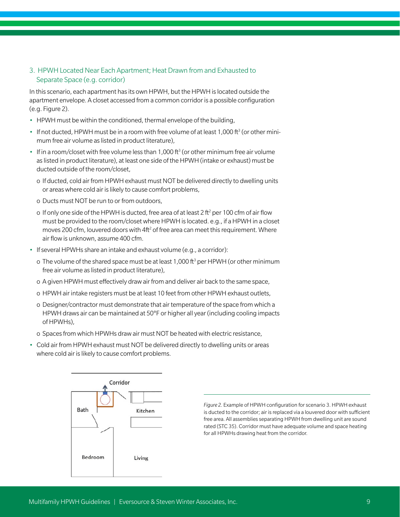#### 3. HPWH Located Near Each Apartment; Heat Drawn from and Exhausted to Separate Space (e.g. corridor)

In this scenario, each apartment has its own HPWH, but the HPWH is located outside the apartment envelope. A closet accessed from a common corridor is a possible configuration (e.g. Figure 2).

- HPWH must be within the conditioned, thermal envelope of the building,
- If not ducted, HPWH must be in a room with free volume of at least 1,000 ft<sup>3</sup> (or other minimum free air volume as listed in product literature),
- If in a room/closet with free volume less than 1,000 ft<sup>3</sup> (or other minimum free air volume as listed in product literature), at least one side of the HPWH (intake or exhaust) must be ducted outside of the room/closet,
	- o If ducted, cold air from HPWH exhaust must NOT be delivered directly to dwelling units or areas where cold air is likely to cause comfort problems,
	- o Ducts must NOT be run to or from outdoors,
	- o If only one side of the HPWH is ducted, free area of at least 2 ft<sup>2</sup> per 100 cfm of air flow must be provided to the room/closet where HPWH is located. e.g., if a HPWH in a closet moves 200 cfm, louvered doors with  $4ft<sup>2</sup>$  of free area can meet this requirement. Where air flow is unknown, assume 400 cfm.
- If several HPWHs share an intake and exhaust volume (e.g., a corridor):
	- o The volume of the shared space must be at least 1,000 ft<sup>3</sup> per HPWH (or other minimum free air volume as listed in product literature),
	- o A given HPWH must effectively draw air from and deliver air back to the same space,
	- o HPWH air intake registers must be at least 10 feet from other HPWH exhaust outlets,
	- o Designer/contractor must demonstrate that air temperature of the space from which a HPWH draws air can be maintained at 50°F or higher all year (including cooling impacts of HPWHs),
	- o Spaces from which HPWHs draw air must NOT be heated with electric resistance,
- Cold air from HPWH exhaust must NOT be delivered directly to dwelling units or areas where cold air is likely to cause comfort problems.



*Figure 2.* Example of HPWH configuration for scenario 3. HPWH exhaust is ducted to the corridor; air is replaced via a louvered door with sufficient free area. All assemblies separating HPWH from dwelling unit are sound rated (STC 35). Corridor must have adequate volume and space heating for all HPWHs drawing heat from the corridor.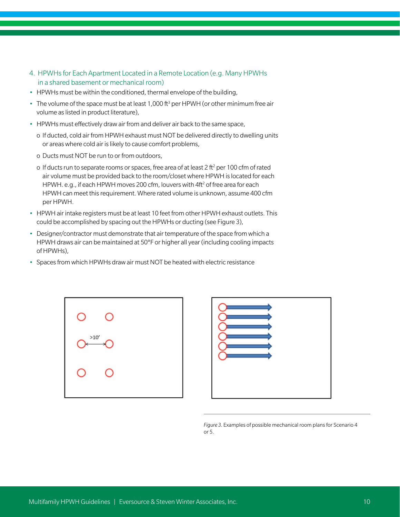- 4. HPWHs for Each Apartment Located in a Remote Location (e.g. Many HPWHs in a shared basement or mechanical room)
- HPWHs must be within the conditioned, thermal envelope of the building,
- The volume of the space must be at least 1,000 ft<sup>3</sup> per HPWH (or other minimum free air volume as listed in product literature),
- HPWHs must effectively draw air from and deliver air back to the same space,
	- o If ducted, cold air from HPWH exhaust must NOT be delivered directly to dwelling units or areas where cold air is likely to cause comfort problems,
	- o Ducts must NOT be run to or from outdoors,
	- o If ducts run to separate rooms or spaces, free area of at least 2 ft<sup>2</sup> per 100 cfm of rated air volume must be provided back to the room/closet where HPWH is located for each HPWH. e.g., if each HPWH moves 200 cfm, louvers with 4ft<sup>2</sup> of free area for each HPWH can meet this requirement. Where rated volume is unknown, assume 400 cfm per HPWH.
- HPWH air intake registers must be at least 10 feet from other HPWH exhaust outlets. This could be accomplished by spacing out the HPWHs or ducting (see Figure 3),
- Designer/contractor must demonstrate that air temperature of the space from which a HPWH draws air can be maintained at 50°F or higher all year (including cooling impacts of HPWHs),
- Spaces from which HPWHs draw air must NOT be heated with electric resistance





*Figure 3.* Examples of possible mechanical room plans for Scenario 4 or 5.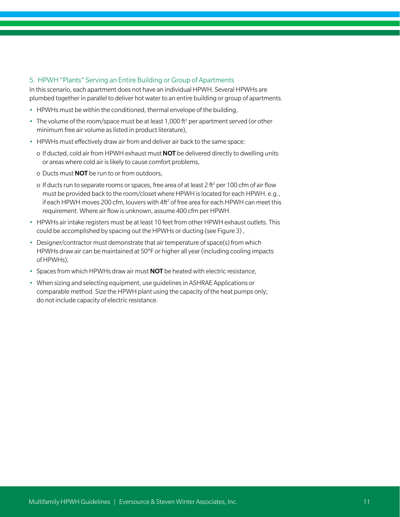#### 5. HPWH "Plants" Serving an Entire Building or Group of Apartments

In this scenario, each apartment does not have an individual HPWH. Several HPWHs are plumbed together in parallel to deliver hot water to an entire building or group of apartments.

- HPWHs must be within the conditioned, thermal envelope of the building,
- The volume of the room/space must be at least 1,000 ft<sup>3</sup> per apartment served (or other minimum free air volume as listed in product literature),
- HPWHs must effectively draw air from and deliver air back to the same space:
	- o If ducted, cold air from HPWH exhaust must **NOT** be delivered directly to dwelling units or areas where cold air is likely to cause comfort problems,
	- o Ducts must NOT be run to or from outdoors,
	- o If ducts run to separate rooms or spaces, free area of at least 2 ft<sup>2</sup> per 100 cfm of air flow must be provided back to the room/closet where HPWH is located for each HPWH. e.g., if each HPWH moves 200 cfm, louvers with 4ft<sup>2</sup> of free area for each HPWH can meet this requirement. Where air flow is unknown, assume 400 cfm per HPWH.
- HPWHs air intake registers must be at least 10 feet from other HPWH exhaust outlets. This could be accomplished by spacing out the HPWHs or ducting (see Figure 3) ,
- Designer/contractor must demonstrate that air temperature of space(s) from which HPWHs draw air can be maintained at 50°F or higher all year (including cooling impacts of HPWHs),
- Spaces from which HPWHs draw air must **NOT** be heated with electric resistance,
- When sizing and selecting equipment, use guidelines in ASHRAE Applications or comparable method. Size the HPWH plant using the capacity of the heat pumps only; do not include capacity of electric resistance.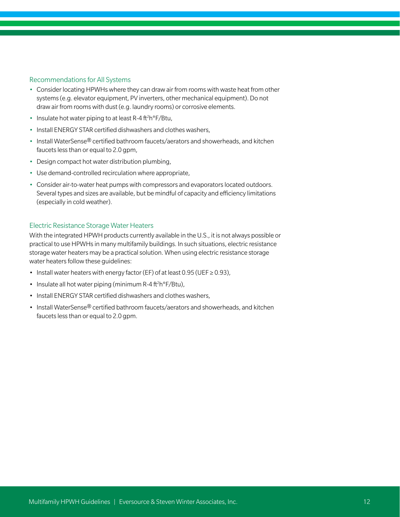#### Recommendations for All Systems

- Consider locating HPWHs where they can draw air from rooms with waste heat from other systems (e.g. elevator equipment, PV inverters, other mechanical equipment). Do not draw air from rooms with dust (e.g. laundry rooms) or corrosive elements.
- Insulate hot water piping to at least R-4 ft<sup>2</sup>h°F/Btu,
- Install ENERGY STAR certified dishwashers and clothes washers,
- Install WaterSense® certified bathroom faucets/aerators and showerheads, and kitchen faucets less than or equal to 2.0 gpm,
- Design compact hot water distribution plumbing,
- Use demand-controlled recirculation where appropriate,
- Consider air-to-water heat pumps with compressors and evaporators located outdoors. Several types and sizes are available, but be mindful of capacity and efficiency limitations (especially in cold weather).

#### Electric Resistance Storage Water Heaters

With the integrated HPWH products currently available in the U.S., it is not always possible or practical to use HPWHs in many multifamily buildings. In such situations, electric resistance storage water heaters may be a practical solution. When using electric resistance storage water heaters follow these guidelines:

- Install water heaters with energy factor (EF) of at least 0.95 (UEF ≥ 0.93),
- $\cdot$  Insulate all hot water piping (minimum R-4 ft<sup>2</sup>h°F/Btu),
- Install ENERGY STAR certified dishwashers and clothes washers,
- Install WaterSense® certified bathroom faucets/aerators and showerheads, and kitchen faucets less than or equal to 2.0 gpm.